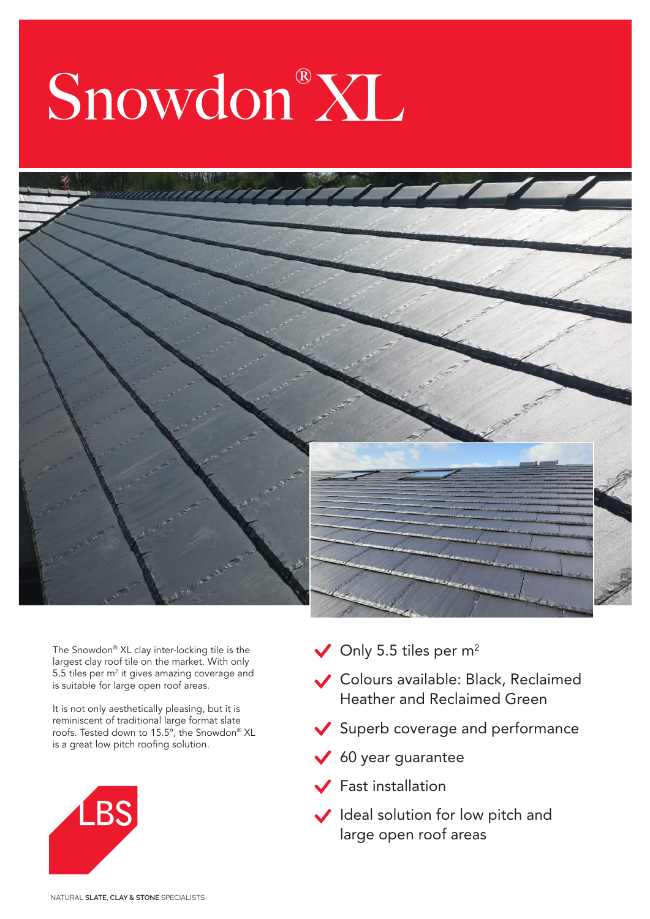## Snowdon®XL



The Snowdon® XL clay inter-locking tile is the largest clay roof tile on the market. With only 5.5 tiles per  $m<sup>2</sup>$  it gives amazing coverage and is suitable for large open roof areas.

It is not only aesthetically pleasing, but it is reminiscent of traditional large format slate roofs. Tested down to 15.5º, the Snowdon® XL is a great low pitch roofing solution.



- $\vee$  Only 5.5 tiles per m<sup>2</sup>
- Colours available: Black, Reclaimed Heather and Reclaimed Green
- Superb coverage and performance
- $60$  year guarantee
- $\sqrt{\phantom{a}}$  Fast installation
- Ideal solution for low pitch and large open roof areas